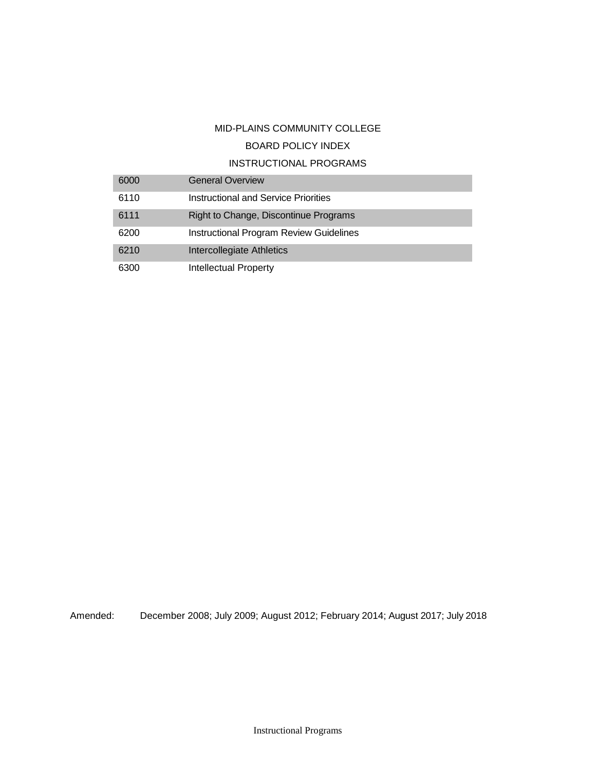## MID-PLAINS COMMUNITY COLLEGE

# BOARD POLICY INDEX

# INSTRUCTIONAL PROGRAMS

| 6000 | <b>General Overview</b>                        |
|------|------------------------------------------------|
| 6110 | Instructional and Service Priorities           |
| 6111 | Right to Change, Discontinue Programs          |
| 6200 | <b>Instructional Program Review Guidelines</b> |
| 6210 | Intercollegiate Athletics                      |
| 6300 | Intellectual Property                          |

Amended: December 2008; July 2009; August 2012; February 2014; August 2017; July 2018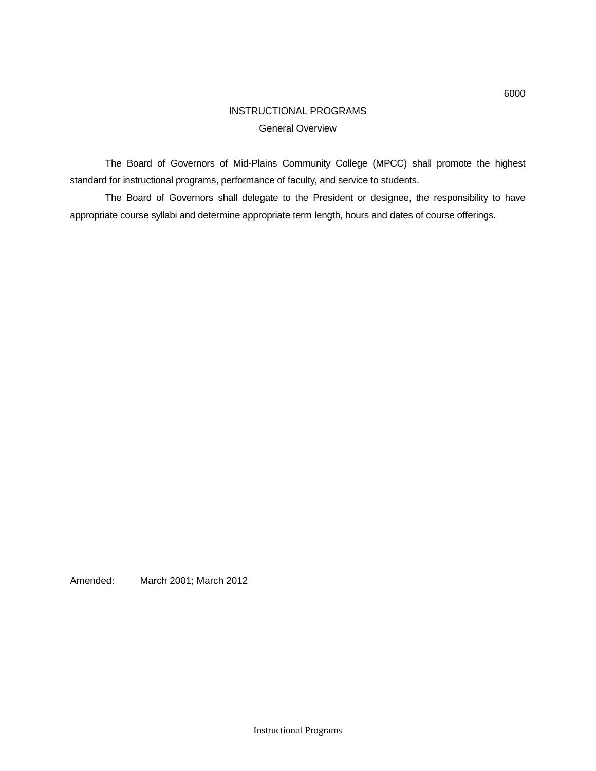# INSTRUCTIONAL PROGRAMS General Overview

The Board of Governors of Mid-Plains Community College (MPCC) shall promote the highest standard for instructional programs, performance of faculty, and service to students.

The Board of Governors shall delegate to the President or designee, the responsibility to have appropriate course syllabi and determine appropriate term length, hours and dates of course offerings.

Amended: March 2001; March 2012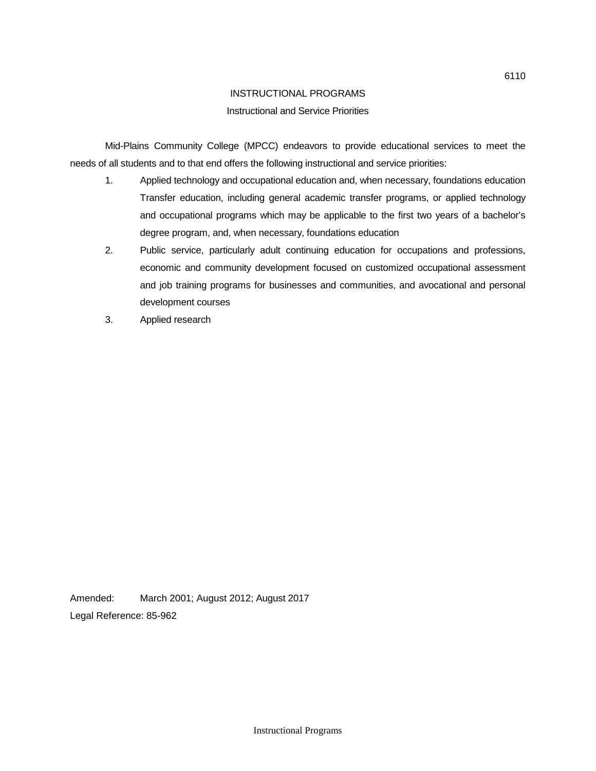## INSTRUCTIONAL PROGRAMS

## Instructional and Service Priorities

Mid-Plains Community College (MPCC) endeavors to provide educational services to meet the needs of all students and to that end offers the following instructional and service priorities:

- 1. Applied technology and occupational education and, when necessary, foundations education Transfer education, including general academic transfer programs, or applied technology and occupational programs which may be applicable to the first two years of a bachelor's degree program, and, when necessary, foundations education
- 2. Public service, particularly adult continuing education for occupations and professions, economic and community development focused on customized occupational assessment and job training programs for businesses and communities, and avocational and personal development courses
- 3. Applied research

Amended: March 2001; August 2012; August 2017 Legal Reference: 85-962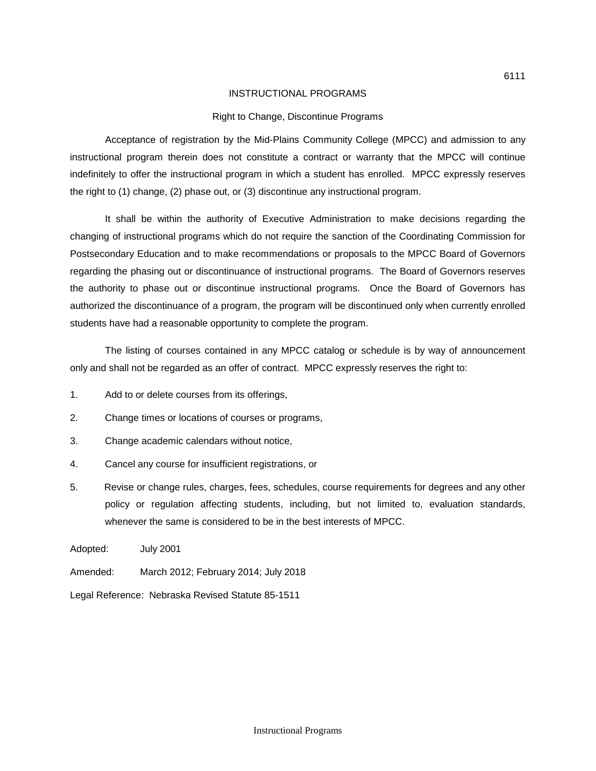### INSTRUCTIONAL PROGRAMS

## Right to Change, Discontinue Programs

Acceptance of registration by the Mid-Plains Community College (MPCC) and admission to any instructional program therein does not constitute a contract or warranty that the MPCC will continue indefinitely to offer the instructional program in which a student has enrolled. MPCC expressly reserves the right to (1) change, (2) phase out, or (3) discontinue any instructional program.

It shall be within the authority of Executive Administration to make decisions regarding the changing of instructional programs which do not require the sanction of the Coordinating Commission for Postsecondary Education and to make recommendations or proposals to the MPCC Board of Governors regarding the phasing out or discontinuance of instructional programs. The Board of Governors reserves the authority to phase out or discontinue instructional programs. Once the Board of Governors has authorized the discontinuance of a program, the program will be discontinued only when currently enrolled students have had a reasonable opportunity to complete the program.

The listing of courses contained in any MPCC catalog or schedule is by way of announcement only and shall not be regarded as an offer of contract. MPCC expressly reserves the right to:

- 1. Add to or delete courses from its offerings,
- 2. Change times or locations of courses or programs,
- 3. Change academic calendars without notice,
- 4. Cancel any course for insufficient registrations, or
- 5. Revise or change rules, charges, fees, schedules, course requirements for degrees and any other policy or regulation affecting students, including, but not limited to, evaluation standards, whenever the same is considered to be in the best interests of MPCC.

Adopted: July 2001

Amended: March 2012; February 2014; July 2018

Legal Reference: Nebraska Revised Statute 85-1511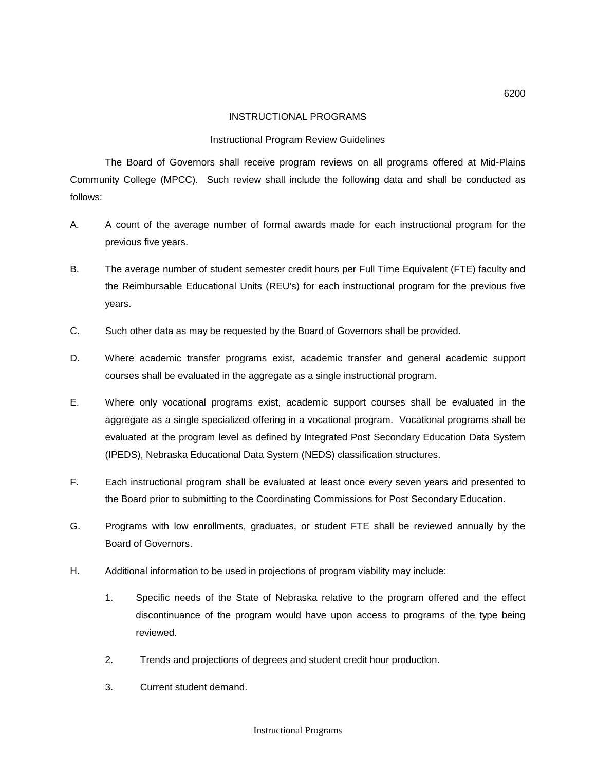## INSTRUCTIONAL PROGRAMS

## Instructional Program Review Guidelines

The Board of Governors shall receive program reviews on all programs offered at Mid-Plains Community College (MPCC). Such review shall include the following data and shall be conducted as follows:

- A. A count of the average number of formal awards made for each instructional program for the previous five years.
- B. The average number of student semester credit hours per Full Time Equivalent (FTE) faculty and the Reimbursable Educational Units (REU's) for each instructional program for the previous five years.
- C. Such other data as may be requested by the Board of Governors shall be provided.
- D. Where academic transfer programs exist, academic transfer and general academic support courses shall be evaluated in the aggregate as a single instructional program.
- E. Where only vocational programs exist, academic support courses shall be evaluated in the aggregate as a single specialized offering in a vocational program. Vocational programs shall be evaluated at the program level as defined by Integrated Post Secondary Education Data System (IPEDS), Nebraska Educational Data System (NEDS) classification structures.
- F. Each instructional program shall be evaluated at least once every seven years and presented to the Board prior to submitting to the Coordinating Commissions for Post Secondary Education.
- G. Programs with low enrollments, graduates, or student FTE shall be reviewed annually by the Board of Governors.
- H. Additional information to be used in projections of program viability may include:
	- 1. Specific needs of the State of Nebraska relative to the program offered and the effect discontinuance of the program would have upon access to programs of the type being reviewed.
	- 2. Trends and projections of degrees and student credit hour production.
	- 3. Current student demand.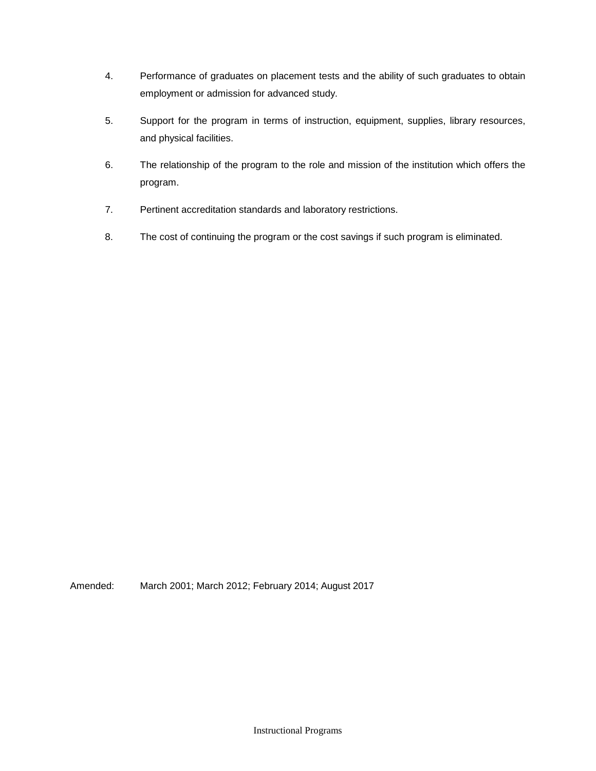- 4. Performance of graduates on placement tests and the ability of such graduates to obtain employment or admission for advanced study.
- 5. Support for the program in terms of instruction, equipment, supplies, library resources, and physical facilities.
- 6. The relationship of the program to the role and mission of the institution which offers the program.
- 7. Pertinent accreditation standards and laboratory restrictions.
- 8. The cost of continuing the program or the cost savings if such program is eliminated.

Amended: March 2001; March 2012; February 2014; August 2017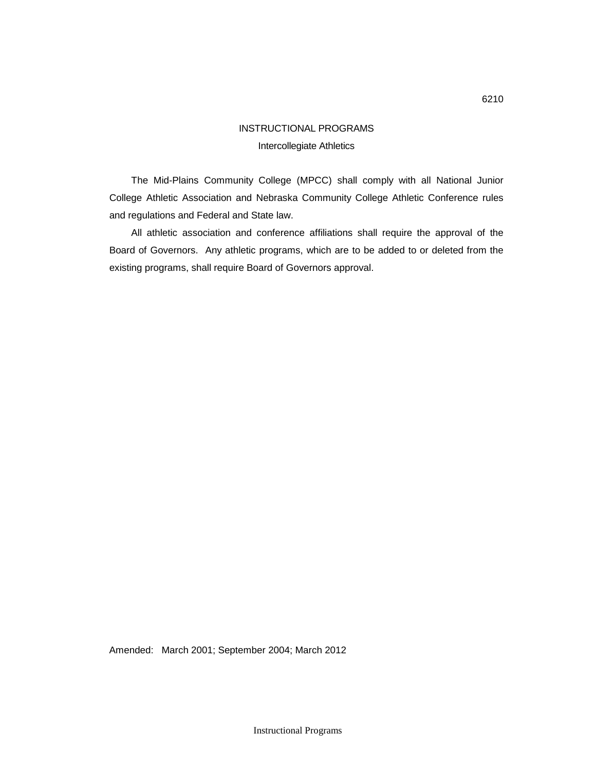# INSTRUCTIONAL PROGRAMS Intercollegiate Athletics

The Mid-Plains Community College (MPCC) shall comply with all National Junior College Athletic Association and Nebraska Community College Athletic Conference rules and regulations and Federal and State law.

All athletic association and conference affiliations shall require the approval of the Board of Governors. Any athletic programs, which are to be added to or deleted from the existing programs, shall require Board of Governors approval.

Amended: March 2001; September 2004; March 2012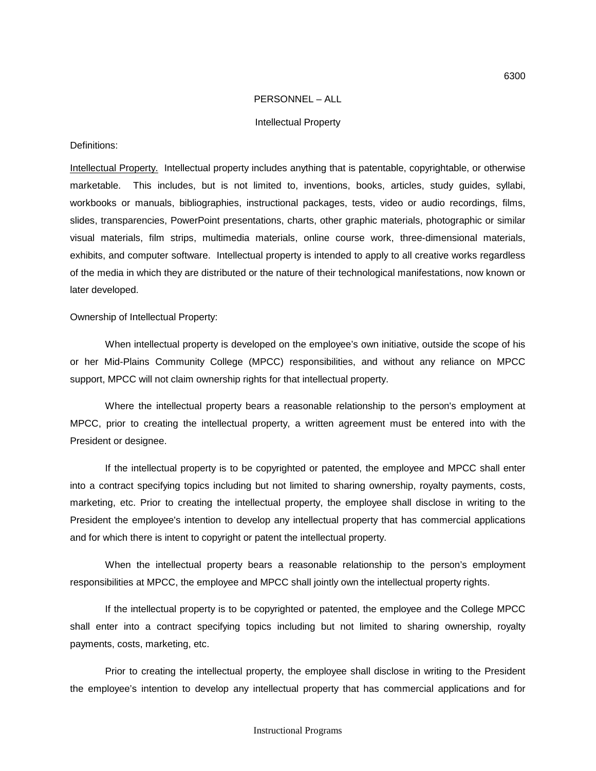#### PERSONNEL – ALL

#### Intellectual Property

#### Definitions:

Intellectual Property. Intellectual property includes anything that is patentable, copyrightable, or otherwise marketable. This includes, but is not limited to, inventions, books, articles, study guides, syllabi, workbooks or manuals, bibliographies, instructional packages, tests, video or audio recordings, films, slides, transparencies, PowerPoint presentations, charts, other graphic materials, photographic or similar visual materials, film strips, multimedia materials, online course work, three-dimensional materials, exhibits, and computer software. Intellectual property is intended to apply to all creative works regardless of the media in which they are distributed or the nature of their technological manifestations, now known or later developed.

Ownership of Intellectual Property:

When intellectual property is developed on the employee's own initiative, outside the scope of his or her Mid-Plains Community College (MPCC) responsibilities, and without any reliance on MPCC support, MPCC will not claim ownership rights for that intellectual property.

Where the intellectual property bears a reasonable relationship to the person's employment at MPCC, prior to creating the intellectual property, a written agreement must be entered into with the President or designee.

If the intellectual property is to be copyrighted or patented, the employee and MPCC shall enter into a contract specifying topics including but not limited to sharing ownership, royalty payments, costs, marketing, etc. Prior to creating the intellectual property, the employee shall disclose in writing to the President the employee's intention to develop any intellectual property that has commercial applications and for which there is intent to copyright or patent the intellectual property.

When the intellectual property bears a reasonable relationship to the person's employment responsibilities at MPCC, the employee and MPCC shall jointly own the intellectual property rights.

If the intellectual property is to be copyrighted or patented, the employee and the College MPCC shall enter into a contract specifying topics including but not limited to sharing ownership, royalty payments, costs, marketing, etc.

Prior to creating the intellectual property, the employee shall disclose in writing to the President the employee's intention to develop any intellectual property that has commercial applications and for